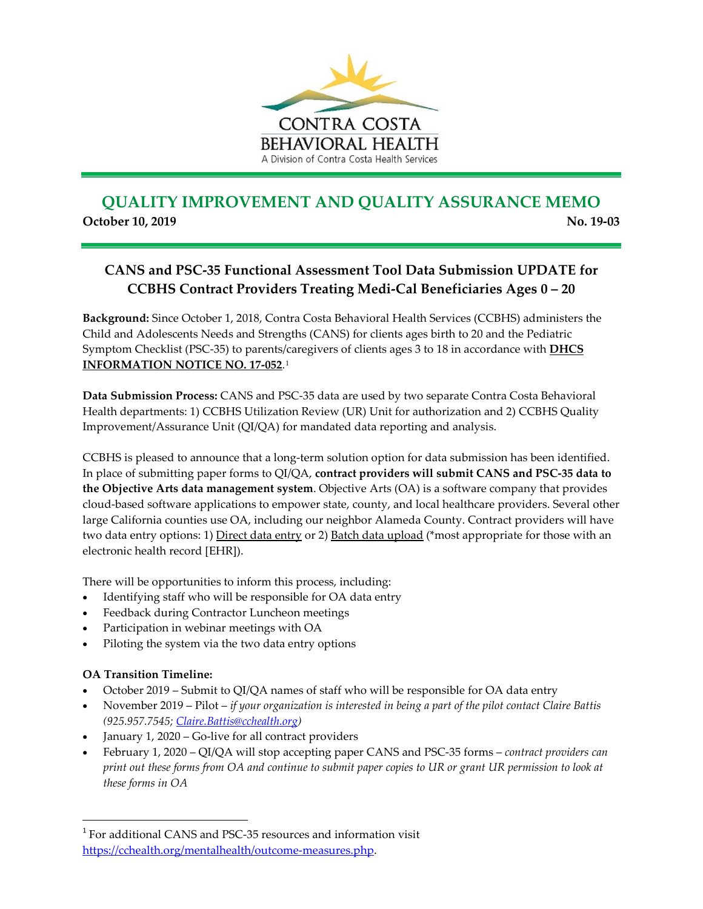

## **QUALITY IMPROVEMENT AND QUALITY ASSURANCE MEMO October 10, 2019** No. 19-03

## **CANS and PSC-35 Functional Assessment Tool Data Submission UPDATE for CCBHS Contract Providers Treating Medi-Cal Beneficiaries Ages 0 – 20**

**Background:** Since October 1, 2018, Contra Costa Behavioral Health Services (CCBHS) administers the Child and Adolescents Needs and Strengths (CANS) for clients ages birth to 20 and the Pediatric Symptom Checklist (PSC-35) to parents/caregivers of clients ages 3 to 18 in accordance with **[DHCS](http://www.dhcs.ca.gov/services/MH/Documents/FMORB/Info_Notice_17-052_POS_Functional_Assessment_Tool.pdf)  [INFORMATION NOTICE NO. 17-052](http://www.dhcs.ca.gov/services/MH/Documents/FMORB/Info_Notice_17-052_POS_Functional_Assessment_Tool.pdf)**.[1](#page-0-0)

**Data Submission Process:** CANS and PSC-35 data are used by two separate Contra Costa Behavioral Health departments: 1) CCBHS Utilization Review (UR) Unit for authorization and 2) CCBHS Quality Improvement/Assurance Unit (QI/QA) for mandated data reporting and analysis.

CCBHS is pleased to announce that a long-term solution option for data submission has been identified. In place of submitting paper forms to QI/QA, **contract providers will submit CANS and PSC-35 data to the Objective Arts data management system**. Objective Arts (OA) is a software company that provides cloud-based software applications to empower state, county, and local healthcare providers. Several other large California counties use OA, including our neighbor Alameda County. Contract providers will have two data entry options: 1) Direct data entry or 2) Batch data upload (\*most appropriate for those with an electronic health record [EHR]).

There will be opportunities to inform this process, including:

- Identifying staff who will be responsible for OA data entry
- Feedback during Contractor Luncheon meetings
- Participation in webinar meetings with OA
- Piloting the system via the two data entry options

## **OA Transition Timeline:**

- October 2019 Submit to QI/QA names of staff who will be responsible for OA data entry
- November 2019 Pilot *if your organization is interested in being a part of the pilot contact Claire Battis (925.957.7545; [Claire.Battis@cchealth.org\)](mailto:Claire.Battis@cchealth.org)*
- January 1, 2020 Go-live for all contract providers
- February 1, 2020 QI/QA will stop accepting paper CANS and PSC-35 forms *contract providers can print out these forms from OA and continue to submit paper copies to UR or grant UR permission to look at these forms in OA*

<span id="page-0-0"></span> <sup>1</sup> For additional CANS and PSC-35 resources and information visit [https://cchealth.org/mentalhealth/outcome-measures.php.](https://cchealth.org/mentalhealth/outcome-measures.php)